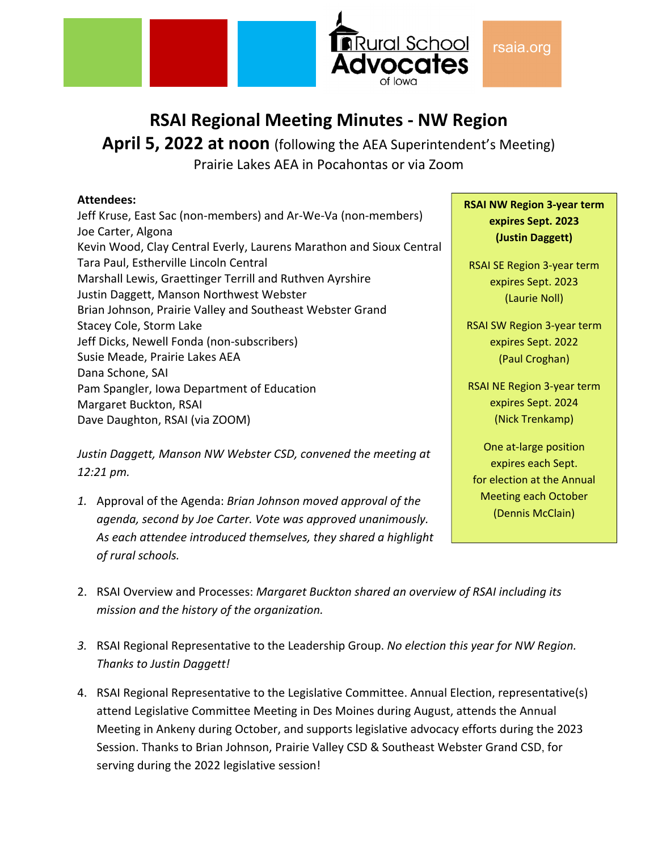

## **RSAI Regional Meeting Minutes ‐ NW Region**

**April 5, 2022 at noon** (following the AEA Superintendent's Meeting) Prairie Lakes AEA in Pocahontas or via Zoom

#### **Attendees:**

Jeff Kruse, East Sac (non‐members) and Ar‐We‐Va (non‐members) Joe Carter, Algona Kevin Wood, Clay Central Everly, Laurens Marathon and Sioux Central Tara Paul, Estherville Lincoln Central Marshall Lewis, Graettinger Terrill and Ruthven Ayrshire Justin Daggett, Manson Northwest Webster Brian Johnson, Prairie Valley and Southeast Webster Grand Stacey Cole, Storm Lake Jeff Dicks, Newell Fonda (non‐subscribers) Susie Meade, Prairie Lakes AEA Dana Schone, SAI Pam Spangler, Iowa Department of Education Margaret Buckton, RSAI Dave Daughton, RSAI (via ZOOM)

*Justin Daggett, Manson NW Webster CSD, convened the meeting at 12:21 pm.* 

*1.* Approval of the Agenda: *Brian Johnson moved approval of the agenda, second by Joe Carter. Vote was approved unanimously. As each attendee introduced themselves, they shared a highlight of rural schools.*

**RSAI NW Region 3‐year term expires Sept. 2023 (Justin Daggett)**

RSAI SE Region 3‐year term expires Sept. 2023 (Laurie Noll)

RSAI SW Region 3‐year term expires Sept. 2022 (Paul Croghan)

RSAI NE Region 3‐year term expires Sept. 2024 (Nick Trenkamp)

One at‐large position expires each Sept. for election at the Annual Meeting each October (Dennis McClain)

- 2. RSAI Overview and Processes: *Margaret Buckton shared an overview of RSAI including its mission and the history of the organization.*
- *3.* RSAI Regional Representative to the Leadership Group. *No election this year for NW Region. Thanks to Justin Daggett!*
- 4. RSAI Regional Representative to the Legislative Committee. Annual Election, representative(s) attend Legislative Committee Meeting in Des Moines during August, attends the Annual Meeting in Ankeny during October, and supports legislative advocacy efforts during the 2023 Session. Thanks to Brian Johnson, Prairie Valley CSD & Southeast Webster Grand CSD, for serving during the 2022 legislative session!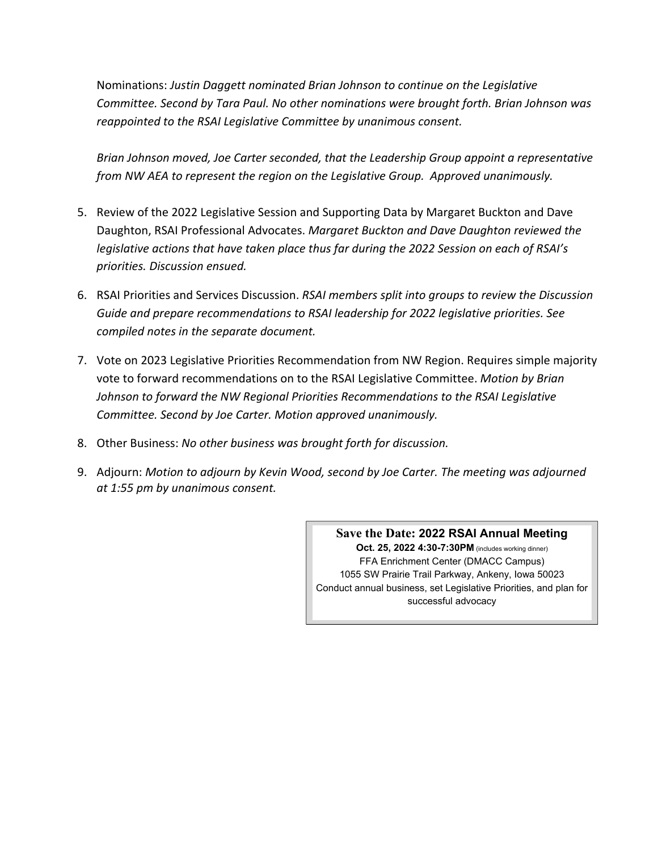Nominations: *Justin Daggett nominated Brian Johnson to continue on the Legislative Committee. Second by Tara Paul. No other nominations were brought forth. Brian Johnson was reappointed to the RSAI Legislative Committee by unanimous consent.*

*Brian Johnson moved, Joe Carter seconded, that the Leadership Group appoint a representative from NW AEA to represent the region on the Legislative Group. Approved unanimously.* 

- 5. Review of the 2022 Legislative Session and Supporting Data by Margaret Buckton and Dave Daughton, RSAI Professional Advocates. *Margaret Buckton and Dave Daughton reviewed the legislative actions that have taken place thus far during the 2022 Session on each of RSAI's priorities. Discussion ensued.*
- 6. RSAI Priorities and Services Discussion. *RSAI members split into groups to review the Discussion Guide and prepare recommendations to RSAI leadership for 2022 legislative priorities. See compiled notes in the separate document.*
- 7. Vote on 2023 Legislative Priorities Recommendation from NW Region. Requires simple majority vote to forward recommendations on to the RSAI Legislative Committee. *Motion by Brian Johnson to forward the NW Regional Priorities Recommendations to the RSAI Legislative Committee. Second by Joe Carter. Motion approved unanimously.*
- 8. Other Business: *No other business was brought forth for discussion.*
- 9. Adjourn: *Motion to adjourn by Kevin Wood, second by Joe Carter. The meeting was adjourned at 1:55 pm by unanimous consent.*

**Save the Date: 2022 RSAI Annual Meeting Oct. 25, 2022 4:30-7:30PM** (includes working dinner) FFA Enrichment Center (DMACC Campus) 1055 SW Prairie Trail Parkway, Ankeny, Iowa 50023 Conduct annual business, set Legislative Priorities, and plan for successful advocacy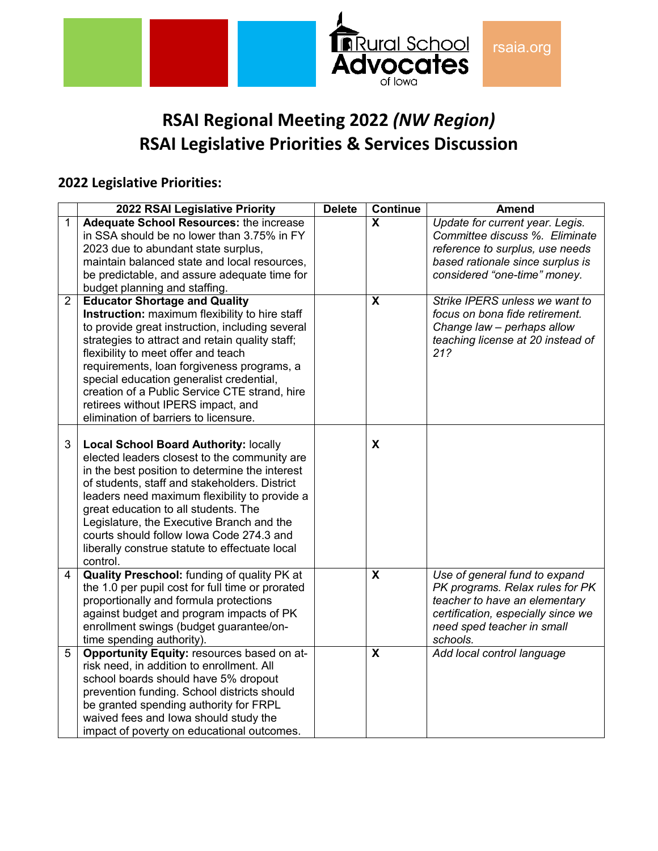

# **RSAI Regional Meeting 2022** *(NW Region)* **RSAI Legislative Priorities & Services Discussion**

## **2022 Legislative Priorities:**

|                | 2022 RSAI Legislative Priority                                                                                                                                                                                                                                                                                                                                                                                                                                | <b>Delete</b> | <b>Continue</b>         | <b>Amend</b>                                                                                                                                                                      |
|----------------|---------------------------------------------------------------------------------------------------------------------------------------------------------------------------------------------------------------------------------------------------------------------------------------------------------------------------------------------------------------------------------------------------------------------------------------------------------------|---------------|-------------------------|-----------------------------------------------------------------------------------------------------------------------------------------------------------------------------------|
| 1              | <b>Adequate School Resources: the increase</b><br>in SSA should be no lower than 3.75% in FY<br>2023 due to abundant state surplus,<br>maintain balanced state and local resources,<br>be predictable, and assure adequate time for<br>budget planning and staffing.                                                                                                                                                                                          |               | $\overline{\mathbf{x}}$ | Update for current year. Legis.<br>Committee discuss %. Eliminate<br>reference to surplus, use needs<br>based rationale since surplus is<br>considered "one-time" money.          |
| $\overline{2}$ | <b>Educator Shortage and Quality</b><br>Instruction: maximum flexibility to hire staff<br>to provide great instruction, including several<br>strategies to attract and retain quality staff;<br>flexibility to meet offer and teach<br>requirements, loan forgiveness programs, a<br>special education generalist credential,<br>creation of a Public Service CTE strand, hire<br>retirees without IPERS impact, and<br>elimination of barriers to licensure. |               | X                       | Strike IPERS unless we want to<br>focus on bona fide retirement.<br>Change law - perhaps allow<br>teaching license at 20 instead of<br>21?                                        |
| 3              | <b>Local School Board Authority: locally</b><br>elected leaders closest to the community are<br>in the best position to determine the interest<br>of students, staff and stakeholders. District<br>leaders need maximum flexibility to provide a<br>great education to all students. The<br>Legislature, the Executive Branch and the<br>courts should follow lowa Code 274.3 and<br>liberally construe statute to effectuate local<br>control.               |               | X                       |                                                                                                                                                                                   |
| 4              | <b>Quality Preschool:</b> funding of quality PK at<br>the 1.0 per pupil cost for full time or prorated<br>proportionally and formula protections<br>against budget and program impacts of PK<br>enrollment swings (budget guarantee/on-<br>time spending authority).                                                                                                                                                                                          |               | $\overline{\mathbf{x}}$ | Use of general fund to expand<br>PK programs. Relax rules for PK<br>teacher to have an elementary<br>certification, especially since we<br>need sped teacher in small<br>schools. |
| 5              | Opportunity Equity: resources based on at-<br>risk need, in addition to enrollment. All<br>school boards should have 5% dropout<br>prevention funding. School districts should<br>be granted spending authority for FRPL<br>waived fees and lowa should study the<br>impact of poverty on educational outcomes.                                                                                                                                               |               | $\overline{\mathbf{x}}$ | Add local control language                                                                                                                                                        |